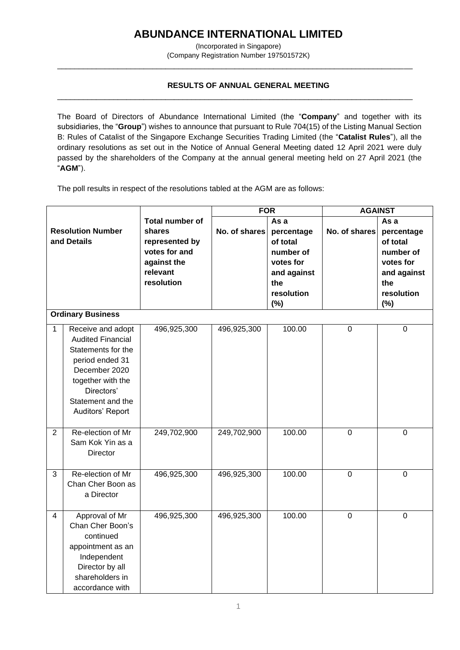## **ABUNDANCE INTERNATIONAL LIMITED**

(Incorporated in Singapore) (Company Registration Number 197501572K)

\_\_\_\_\_\_\_\_\_\_\_\_\_\_\_\_\_\_\_\_\_\_\_\_\_\_\_\_\_\_\_\_\_\_\_\_\_\_\_\_\_\_\_\_\_\_\_\_\_\_\_\_\_\_\_\_\_\_\_\_\_\_\_\_\_\_\_\_\_\_\_\_\_\_\_\_\_\_\_\_\_\_

\_\_\_\_\_\_\_\_\_\_\_\_\_\_\_\_\_\_\_\_\_\_\_\_\_\_\_\_\_\_\_\_\_\_\_\_\_\_\_\_\_\_\_\_\_\_\_\_\_\_\_\_\_\_\_\_\_\_\_\_\_\_\_\_\_\_\_\_\_\_\_\_\_\_\_\_\_\_\_\_\_\_

## **RESULTS OF ANNUAL GENERAL MEETING**

The Board of Directors of Abundance International Limited (the "**Company**" and together with its subsidiaries, the "**Group**") wishes to announce that pursuant to Rule 704(15) of the Listing Manual Section B: Rules of Catalist of the Singapore Exchange Securities Trading Limited (the "**Catalist Rules**"), all the ordinary resolutions as set out in the Notice of Annual General Meeting dated 12 April 2021 were duly passed by the shareholders of the Company at the annual general meeting held on 27 April 2021 (the "**AGM**").

The poll results in respect of the resolutions tabled at the AGM are as follows:

|                                                                     |                                                                                                                                                                                     |                                                                                                              | <b>FOR</b>    |                                                                                                        | <b>AGAINST</b> |                                                                                                     |
|---------------------------------------------------------------------|-------------------------------------------------------------------------------------------------------------------------------------------------------------------------------------|--------------------------------------------------------------------------------------------------------------|---------------|--------------------------------------------------------------------------------------------------------|----------------|-----------------------------------------------------------------------------------------------------|
| <b>Resolution Number</b><br>and Details<br><b>Ordinary Business</b> |                                                                                                                                                                                     | <b>Total number of</b><br>shares<br>represented by<br>votes for and<br>against the<br>relevant<br>resolution | No. of shares | As a<br>percentage<br>of total<br>number of<br>votes for<br>and against<br>the<br>resolution<br>$(\%)$ | No. of shares  | As a<br>percentage<br>of total<br>number of<br>votes for<br>and against<br>the<br>resolution<br>(%) |
| $\mathbf{1}$                                                        | Receive and adopt<br><b>Audited Financial</b><br>Statements for the<br>period ended 31<br>December 2020<br>together with the<br>Directors'<br>Statement and the<br>Auditors' Report | 496,925,300                                                                                                  | 496,925,300   | 100.00                                                                                                 | $\mathbf 0$    | $\overline{0}$                                                                                      |
| $\overline{2}$                                                      | Re-election of Mr<br>Sam Kok Yin as a<br>Director                                                                                                                                   | 249,702,900                                                                                                  | 249,702,900   | 100.00                                                                                                 | $\mathbf 0$    | $\mathbf 0$                                                                                         |
| 3                                                                   | Re-election of Mr<br>Chan Cher Boon as<br>a Director                                                                                                                                | 496,925,300                                                                                                  | 496,925,300   | 100.00                                                                                                 | $\mathbf 0$    | $\overline{0}$                                                                                      |
| 4                                                                   | Approval of Mr<br>Chan Cher Boon's<br>continued<br>appointment as an<br>Independent<br>Director by all<br>shareholders in<br>accordance with                                        | 496,925,300                                                                                                  | 496,925,300   | 100.00                                                                                                 | $\mathbf 0$    | $\mathbf 0$                                                                                         |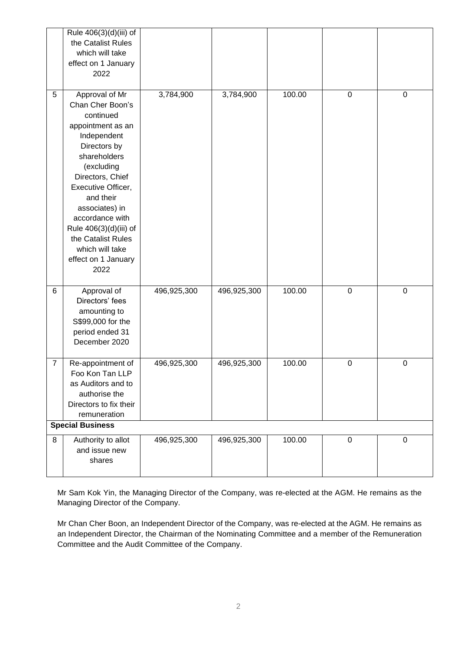|                         | Rule 406(3)(d)(iii) of<br>the Catalist Rules<br>which will take<br>effect on 1 January<br>2022                                                                                                                                                                                                                                  |             |             |        |                  |                  |  |  |  |
|-------------------------|---------------------------------------------------------------------------------------------------------------------------------------------------------------------------------------------------------------------------------------------------------------------------------------------------------------------------------|-------------|-------------|--------|------------------|------------------|--|--|--|
| 5                       | Approval of Mr<br>Chan Cher Boon's<br>continued<br>appointment as an<br>Independent<br>Directors by<br>shareholders<br>(excluding<br>Directors, Chief<br>Executive Officer,<br>and their<br>associates) in<br>accordance with<br>Rule 406(3)(d)(iii) of<br>the Catalist Rules<br>which will take<br>effect on 1 January<br>2022 | 3,784,900   | 3,784,900   | 100.00 | $\mathbf 0$      | $\mathbf 0$      |  |  |  |
| 6                       | Approval of<br>Directors' fees<br>amounting to<br>S\$99,000 for the<br>period ended 31<br>December 2020                                                                                                                                                                                                                         | 496,925,300 | 496,925,300 | 100.00 | $\mathbf 0$      | $\mathbf 0$      |  |  |  |
| $\overline{7}$          | Re-appointment of<br>Foo Kon Tan LLP<br>as Auditors and to<br>authorise the<br>Directors to fix their<br>remuneration                                                                                                                                                                                                           | 496,925,300 | 496,925,300 | 100.00 | $\boldsymbol{0}$ | $\boldsymbol{0}$ |  |  |  |
| <b>Special Business</b> |                                                                                                                                                                                                                                                                                                                                 |             |             |        |                  |                  |  |  |  |
| 8                       | Authority to allot<br>and issue new<br>shares                                                                                                                                                                                                                                                                                   | 496,925,300 | 496,925,300 | 100.00 | $\mathbf 0$      | 0                |  |  |  |

Mr Sam Kok Yin, the Managing Director of the Company, was re-elected at the AGM. He remains as the Managing Director of the Company.

Mr Chan Cher Boon, an Independent Director of the Company, was re-elected at the AGM. He remains as an Independent Director, the Chairman of the Nominating Committee and a member of the Remuneration Committee and the Audit Committee of the Company.